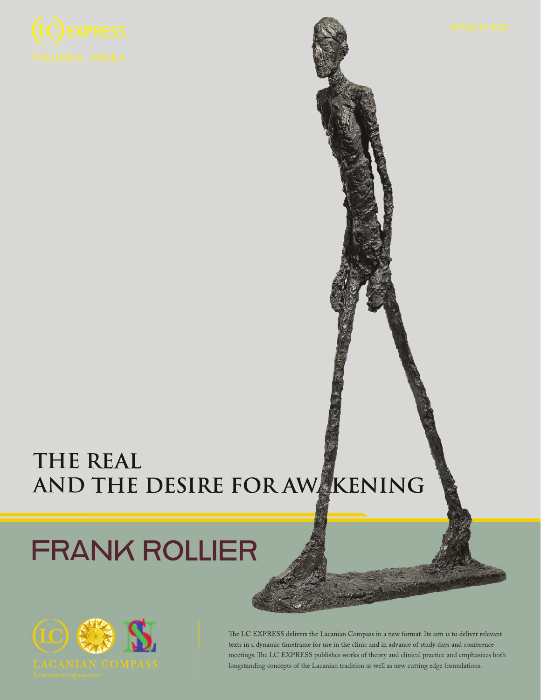

## **THE REAL AND THE DESIRE FOR AWAKENING**

# FRANK ROLLIER



The LC EXPRESS delivers the Lacanian Compass in a new format. Its aim is to deliver relevant texts in a dynamic timeframe for use in the clinic and in advance of study days and conference meetings. The LC EXPRESS publishes works of theory and clinical practice and emphasizes both longstanding concepts of the Lacanian tradition as well as new cutting edge formulations.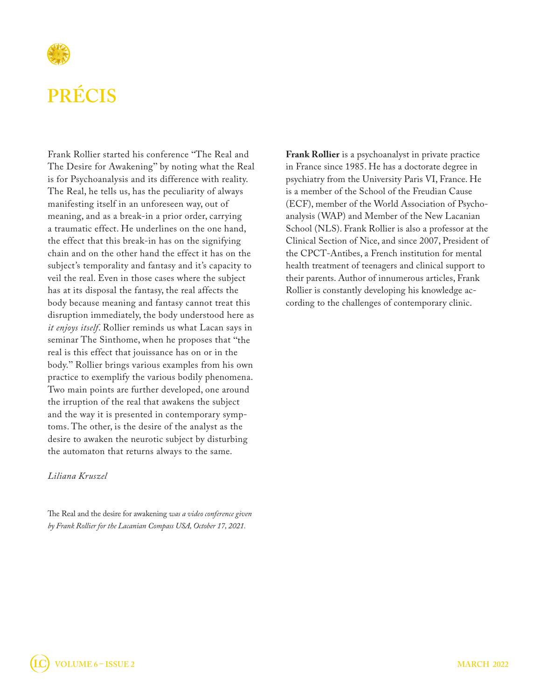

Frank Rollier started his conference "The Real and The Desire for Awakening" by noting what the Real is for Psychoanalysis and its difference with reality. The Real, he tells us, has the peculiarity of always manifesting itself in an unforeseen way, out of meaning, and as a break-in a prior order, carrying a traumatic effect. He underlines on the one hand, the effect that this break-in has on the signifying chain and on the other hand the effect it has on the subject's temporality and fantasy and it's capacity to veil the real. Even in those cases where the subject has at its disposal the fantasy, the real affects the body because meaning and fantasy cannot treat this disruption immediately, the body understood here as *it enjoys itself*. Rollier reminds us what Lacan says in seminar The Sinthome, when he proposes that "the real is this effect that jouissance has on or in the body." Rollier brings various examples from his own practice to exemplify the various bodily phenomena. Two main points are further developed, one around the irruption of the real that awakens the subject and the way it is presented in contemporary symptoms. The other, is the desire of the analyst as the desire to awaken the neurotic subject by disturbing the automaton that returns always to the same.

#### *Liliana Kruszel*

The Real and the desire for awakening *was a video conference given by Frank Rollier for the Lacanian Compass USA, October 17, 2021.*

**Frank Rollier** is a psychoanalyst in private practice in France since 1985. He has a doctorate degree in psychiatry from the University Paris VI, France. He is a member of the School of the Freudian Cause (ECF), member of the World Association of Psychoanalysis (WAP) and Member of the New Lacanian School (NLS). Frank Rollier is also a professor at the Clinical Section of Nice, and since 2007, President of the CPCT-Antibes, a French institution for mental health treatment of teenagers and clinical support to their parents. Author of innumerous articles, Frank Rollier is constantly developing his knowledge according to the challenges of contemporary clinic.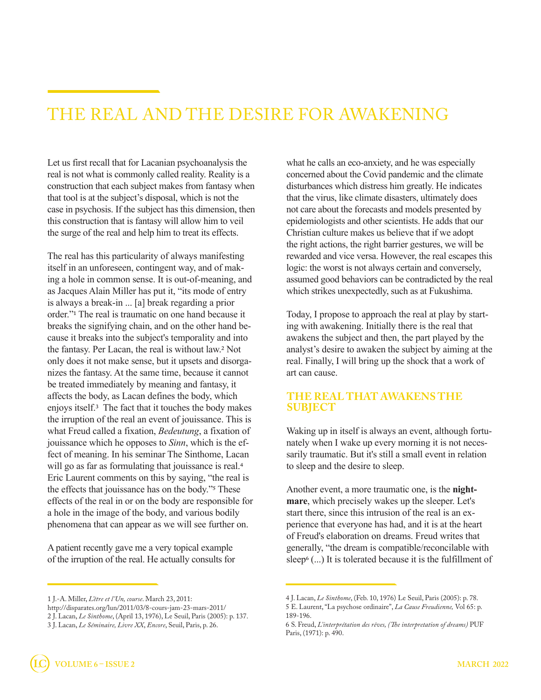### THE REAL AND THE DESIRE FOR AWAKENING

Let us first recall that for Lacanian psychoanalysis the real is not what is commonly called reality. Reality is a construction that each subject makes from fantasy when that tool is at the subject's disposal, which is not the case in psychosis. If the subject has this dimension, then this construction that is fantasy will allow him to veil the surge of the real and help him to treat its effects.

The real has this particularity of always manifesting itself in an unforeseen, contingent way, and of making a hole in common sense. It is out-of-meaning, and as Jacques Alain Miller has put it, "its mode of entry is always a break-in ... [a] break regarding a prior order."1 The real is traumatic on one hand because it breaks the signifying chain, and on the other hand because it breaks into the subject's temporality and into the fantasy. Per Lacan, the real is without law.2 Not only does it not make sense, but it upsets and disorganizes the fantasy. At the same time, because it cannot be treated immediately by meaning and fantasy, it affects the body, as Lacan defines the body, which enjoys itself.3 The fact that it touches the body makes the irruption of the real an event of jouissance. This is what Freud called a fixation, *Bedeutung*, a fixation of jouissance which he opposes to *Sinn*, which is the effect of meaning. In his seminar The Sinthome, Lacan will go as far as formulating that jouissance is real.<sup>4</sup> Eric Laurent comments on this by saying, "the real is the effects that jouissance has on the body."5 These effects of the real in or on the body are responsible for a hole in the image of the body, and various bodily phenomena that can appear as we will see further on.

A patient recently gave me a very topical example of the irruption of the real. He actually consults for what he calls an eco-anxiety, and he was especially concerned about the Covid pandemic and the climate disturbances which distress him greatly. He indicates that the virus, like climate disasters, ultimately does not care about the forecasts and models presented by epidemiologists and other scientists. He adds that our Christian culture makes us believe that if we adopt the right actions, the right barrier gestures, we will be rewarded and vice versa. However, the real escapes this logic: the worst is not always certain and conversely, assumed good behaviors can be contradicted by the real which strikes unexpectedly, such as at Fukushima.

Today, I propose to approach the real at play by starting with awakening. Initially there is the real that awakens the subject and then, the part played by the analyst's desire to awaken the subject by aiming at the real. Finally, I will bring up the shock that a work of art can cause.

#### **THE REAL THAT AWAKENS THE SUBJECT**

Waking up in itself is always an event, although fortunately when I wake up every morning it is not necessarily traumatic. But it's still a small event in relation to sleep and the desire to sleep.

Another event, a more traumatic one, is the **nightmare**, which precisely wakes up the sleeper. Let's start there, since this intrusion of the real is an experience that everyone has had, and it is at the heart of Freud's elaboration on dreams. Freud writes that generally, "the dream is compatible/reconcilable with sleep<sup>6</sup> (...) It is tolerated because it is the fulfillment of

<sup>1</sup> J.-A. Miller, *L'être et l'Un, course*. March 23, 2011:

http://disparates.org/lun/2011/03/8-cours-jam-23-mars-2011/

<sup>2</sup> J. Lacan, *Le Sinthome*, (April 13, 1976), Le Seuil, Paris (2005): p. 137.

<sup>3</sup> J. Lacan, *Le Séminaire, Livre XX*, *Encore*, Seuil, Paris, p. 26.

<sup>4</sup> J. Lacan, *Le Sinthome*, (Feb. 10, 1976) Le Seuil, Paris (2005): p. 78.

<sup>5</sup> E. Laurent, "La psychose ordinaire", *La Cause Freudienne,* Vol 65: p. 189-196.

<sup>6</sup> S. Freud, *L'interprétation des rêves, (The interpretation of dreams)* PUF Paris, (1971): p. 490.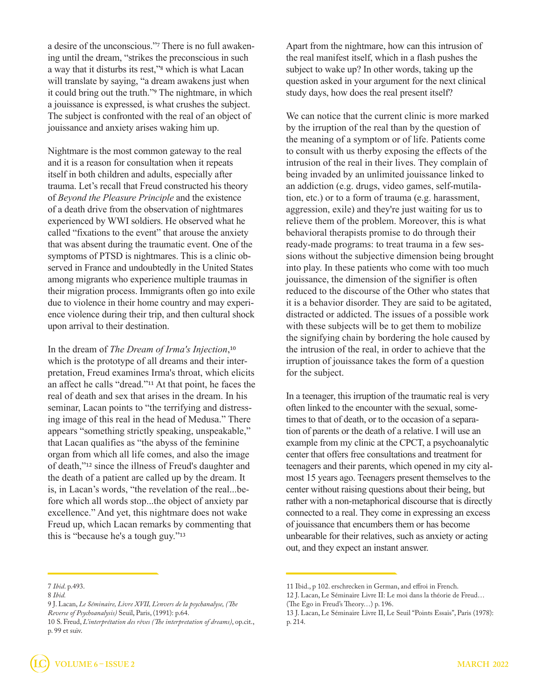a desire of the unconscious."7 There is no full awakening until the dream, "strikes the preconscious in such a way that it disturbs its rest,"8 which is what Lacan will translate by saying, "a dream awakens just when it could bring out the truth."9 The nightmare, in which a jouissance is expressed, is what crushes the subject. The subject is confronted with the real of an object of jouissance and anxiety arises waking him up.

Nightmare is the most common gateway to the real and it is a reason for consultation when it repeats itself in both children and adults, especially after trauma. Let's recall that Freud constructed his theory of *Beyond the Pleasure Principle* and the existence of a death drive from the observation of nightmares experienced by WWI soldiers. He observed what he called "fixations to the event" that arouse the anxiety that was absent during the traumatic event. One of the symptoms of PTSD is nightmares. This is a clinic observed in France and undoubtedly in the United States among migrants who experience multiple traumas in their migration process. Immigrants often go into exile due to violence in their home country and may experience violence during their trip, and then cultural shock upon arrival to their destination.

In the dream of *The Dream of Irma's Injection*,10 which is the prototype of all dreams and their interpretation, Freud examines Irma's throat, which elicits an affect he calls "dread."11 At that point, he faces the real of death and sex that arises in the dream. In his seminar, Lacan points to "the terrifying and distressing image of this real in the head of Medusa." There appears "something strictly speaking, unspeakable," that Lacan qualifies as "the abyss of the feminine organ from which all life comes, and also the image of death,"12 since the illness of Freud's daughter and the death of a patient are called up by the dream. It is, in Lacan's words, "the revelation of the real...before which all words stop...the object of anxiety par excellence." And yet, this nightmare does not wake Freud up, which Lacan remarks by commenting that this is "because he's a tough guy."13

Apart from the nightmare, how can this intrusion of the real manifest itself, which in a flash pushes the subject to wake up? In other words, taking up the question asked in your argument for the next clinical study days, how does the real present itself?

We can notice that the current clinic is more marked by the irruption of the real than by the question of the meaning of a symptom or of life. Patients come to consult with us therby exposing the effects of the intrusion of the real in their lives. They complain of being invaded by an unlimited jouissance linked to an addiction (e.g. drugs, video games, self-mutilation, etc.) or to a form of trauma (e.g. harassment, aggression, exile) and they're just waiting for us to relieve them of the problem. Moreover, this is what behavioral therapists promise to do through their ready-made programs: to treat trauma in a few sessions without the subjective dimension being brought into play. In these patients who come with too much jouissance, the dimension of the signifier is often reduced to the discourse of the Other who states that it is a behavior disorder. They are said to be agitated, distracted or addicted. The issues of a possible work with these subjects will be to get them to mobilize the signifying chain by bordering the hole caused by the intrusion of the real, in order to achieve that the irruption of jouissance takes the form of a question for the subject.

In a teenager, this irruption of the traumatic real is very often linked to the encounter with the sexual, sometimes to that of death, or to the occasion of a separation of parents or the death of a relative. I will use an example from my clinic at the CPCT, a psychoanalytic center that offers free consultations and treatment for teenagers and their parents, which opened in my city almost 15 years ago. Teenagers present themselves to the center without raising questions about their being, but rather with a non-metaphorical discourse that is directly connected to a real. They come in expressing an excess of jouissance that encumbers them or has become unbearable for their relatives, such as anxiety or acting out, and they expect an instant answer.

<sup>7</sup> *Ibid*. p.493.

<sup>8</sup> *Ibid.*

<sup>9</sup> J. Lacan, *Le Séminaire, Livre XVII, L'envers de la psychanalyse, (The Reverse of Psychoanalysis)* Seuil, Paris, (1991): p.64.

<sup>10</sup> S. Freud, *L'interprétation des rêves (The interpretation of dreams)*, op.cit., p. 99 et suiv.

<sup>11</sup> Ibid., p 102. erschrecken in German, and effroi in French.

<sup>12</sup> J. Lacan, Le Séminaire Livre II: Le moi dans la théorie de Freud…

<sup>(</sup>The Ego in Freud's Theory…) p. 196.

<sup>13</sup> J. Lacan, Le Séminaire Livre II, Le Seuil "Points Essais", Paris (1978): p. 214.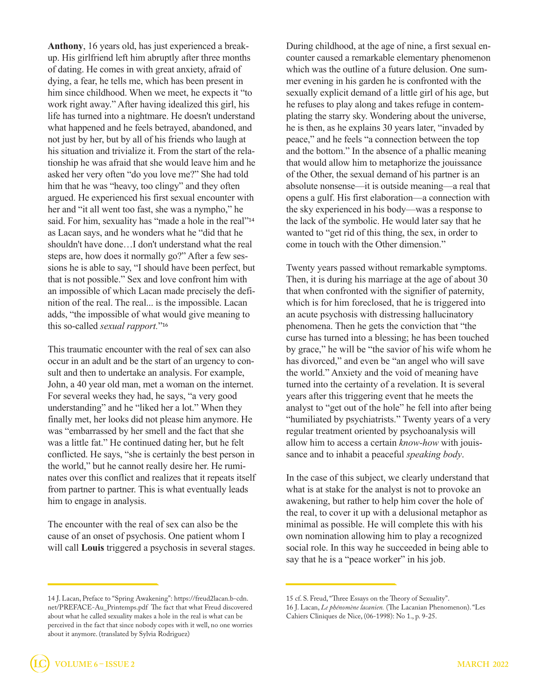**Anthony**, 16 years old, has just experienced a breakup. His girlfriend left him abruptly after three months of dating. He comes in with great anxiety, afraid of dying, a fear, he tells me, which has been present in him since childhood. When we meet, he expects it "to work right away." After having idealized this girl, his life has turned into a nightmare. He doesn't understand what happened and he feels betrayed, abandoned, and not just by her, but by all of his friends who laugh at his situation and trivialize it. From the start of the relationship he was afraid that she would leave him and he asked her very often "do you love me?" She had told him that he was "heavy, too clingy" and they often argued. He experienced his first sexual encounter with her and "it all went too fast, she was a nympho," he said. For him, sexuality has "made a hole in the real"<sup>14</sup> as Lacan says, and he wonders what he "did that he shouldn't have done…I don't understand what the real steps are, how does it normally go?" After a few sessions he is able to say, "I should have been perfect, but that is not possible." Sex and love confront him with an impossible of which Lacan made precisely the definition of the real. The real... is the impossible. Lacan adds, "the impossible of what would give meaning to this so-called *sexual rapport.*"16

This traumatic encounter with the real of sex can also occur in an adult and be the start of an urgency to consult and then to undertake an analysis. For example, John, a 40 year old man, met a woman on the internet. For several weeks they had, he says, "a very good understanding" and he "liked her a lot." When they finally met, her looks did not please him anymore. He was "embarrassed by her smell and the fact that she was a little fat." He continued dating her, but he felt conflicted. He says, "she is certainly the best person in the world," but he cannot really desire her. He ruminates over this conflict and realizes that it repeats itself from partner to partner. This is what eventually leads him to engage in analysis.

The encounter with the real of sex can also be the cause of an onset of psychosis. One patient whom I will call **Louis** triggered a psychosis in several stages.

14 J. Lacan, Preface to "Spring Awakening": https://freud2lacan.b-cdn. net/PREFACE-Au\_Printemps.pdf The fact that what Freud discovered about what he called sexuality makes a hole in the real is what can be perceived in the fact that since nobody copes with it well, no one worries about it anymore. (translated by Sylvia Rodriguez)

During childhood, at the age of nine, a first sexual encounter caused a remarkable elementary phenomenon which was the outline of a future delusion. One summer evening in his garden he is confronted with the sexually explicit demand of a little girl of his age, but he refuses to play along and takes refuge in contemplating the starry sky. Wondering about the universe, he is then, as he explains 30 years later, "invaded by peace," and he feels "a connection between the top and the bottom." In the absence of a phallic meaning that would allow him to metaphorize the jouissance of the Other, the sexual demand of his partner is an absolute nonsense—it is outside meaning—a real that opens a gulf. His first elaboration—a connection with the sky experienced in his body—was a response to the lack of the symbolic. He would later say that he wanted to "get rid of this thing, the sex, in order to come in touch with the Other dimension."

Twenty years passed without remarkable symptoms. Then, it is during his marriage at the age of about 30 that when confronted with the signifier of paternity, which is for him foreclosed, that he is triggered into an acute psychosis with distressing hallucinatory phenomena. Then he gets the conviction that "the curse has turned into a blessing; he has been touched by grace," he will be "the savior of his wife whom he has divorced," and even be "an angel who will save the world." Anxiety and the void of meaning have turned into the certainty of a revelation. It is several years after this triggering event that he meets the analyst to "get out of the hole" he fell into after being "humiliated by psychiatrists." Twenty years of a very regular treatment oriented by psychoanalysis will allow him to access a certain *know-how* with jouissance and to inhabit a peaceful *speaking body*.

In the case of this subject, we clearly understand that what is at stake for the analyst is not to provoke an awakening, but rather to help him cover the hole of the real, to cover it up with a delusional metaphor as minimal as possible. He will complete this with his own nomination allowing him to play a recognized social role. In this way he succeeded in being able to say that he is a "peace worker" in his job.

<sup>15</sup> cf. S. Freud, "Three Essays on the Theory of Sexuality".

<sup>16</sup> J. Lacan, *Le phénomène lacanien.* (The Lacanian Phenomenon). "Les Cahiers Cliniques de Nice, (06-1998): No 1., p. 9-25.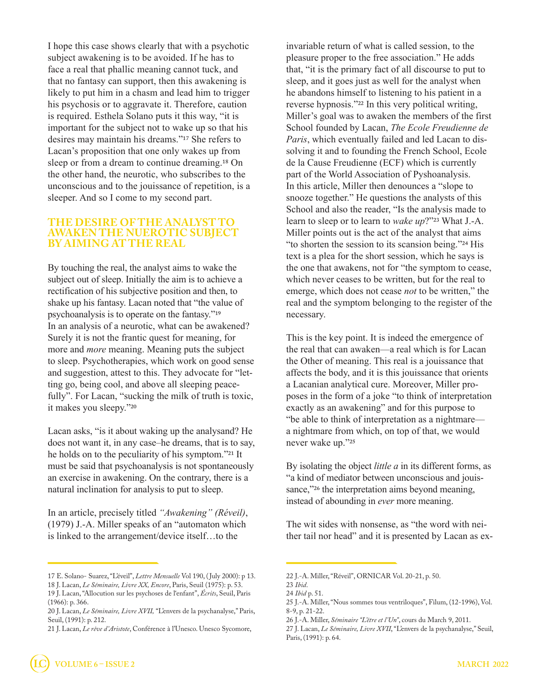I hope this case shows clearly that with a psychotic subject awakening is to be avoided. If he has to face a real that phallic meaning cannot tuck, and that no fantasy can support, then this awakening is likely to put him in a chasm and lead him to trigger his psychosis or to aggravate it. Therefore, caution is required. Esthela Solano puts it this way, "it is important for the subject not to wake up so that his desires may maintain his dreams."17 She refers to Lacan's proposition that one only wakes up from sleep or from a dream to continue dreaming.18 On the other hand, the neurotic, who subscribes to the unconscious and to the jouissance of repetition, is a sleeper. And so I come to my second part.

#### **THE DESIRE OF THE ANALYST TO AWAKEN THE NUEROTIC SUBJECT BY AIMING AT THE REAL**

By touching the real, the analyst aims to wake the subject out of sleep. Initially the aim is to achieve a rectification of his subjective position and then, to shake up his fantasy. Lacan noted that "the value of psychoanalysis is to operate on the fantasy."19 In an analysis of a neurotic, what can be awakened? Surely it is not the frantic quest for meaning, for more and *more* meaning. Meaning puts the subject to sleep. Psychotherapies, which work on good sense and suggestion, attest to this. They advocate for "letting go, being cool, and above all sleeping peacefully". For Lacan, "sucking the milk of truth is toxic, it makes you sleepy."20

Lacan asks, "is it about waking up the analysand? He does not want it, in any case–he dreams, that is to say, he holds on to the peculiarity of his symptom."21 It must be said that psychoanalysis is not spontaneously an exercise in awakening. On the contrary, there is a natural inclination for analysis to put to sleep.

In an article, precisely titled *"Awakening" (Réveil)*, (1979) J.-A. Miller speaks of an "automaton which is linked to the arrangement/device itself…to the

invariable return of what is called session, to the pleasure proper to the free association." He adds that, "it is the primary fact of all discourse to put to sleep, and it goes just as well for the analyst when he abandons himself to listening to his patient in a reverse hypnosis."22 In this very political writing, Miller's goal was to awaken the members of the first School founded by Lacan, *The Ecole Freudienne de Paris*, which eventually failed and led Lacan to dissolving it and to founding the French School, Ecole de la Cause Freudienne (ECF) which is currently part of the World Association of Pyshoanalysis. In this article, Miller then denounces a "slope to snooze together." He questions the analysts of this School and also the reader, "Is the analysis made to learn to sleep or to learn to *wake up*?"23 What J.-A. Miller points out is the act of the analyst that aims "to shorten the session to its scansion being."24 His text is a plea for the short session, which he says is the one that awakens, not for "the symptom to cease, which never ceases to be written, but for the real to emerge, which does not cease *not* to be written," the real and the symptom belonging to the register of the necessary.

This is the key point. It is indeed the emergence of the real that can awaken—a real which is for Lacan the Other of meaning. This real is a jouissance that affects the body, and it is this jouissance that orients a Lacanian analytical cure. Moreover, Miller proposes in the form of a joke "to think of interpretation exactly as an awakening" and for this purpose to "be able to think of interpretation as a nightmare a nightmare from which, on top of that, we would never wake up."25

By isolating the object *little a* in its different forms, as "a kind of mediator between unconscious and jouissance,"<sup>26</sup> the interpretation aims beyond meaning, instead of abounding in *ever* more meaning.

The wit sides with nonsense, as "the word with neither tail nor head" and it is presented by Lacan as ex-

<sup>17</sup> E. Solano- Suarez, "L'éveil", *Lettre Mensuelle* Vol 190, ( July 2000): p 13.

<sup>18</sup> J. Lacan, *Le Séminaire, Livre XX, Encore*, Paris, Seuil (1975): p. 53.

<sup>19</sup> J. Lacan, "Allocution sur les psychoses de l'enfant", *Écrits*, Seuil, Paris (1966): p. 366.

<sup>20</sup> J. Lacan, *Le Séminaire, Livre XVII,* "L'envers de la psychanalyse," Paris, Seuil, (1991): p. 212.

<sup>21</sup> J. Lacan, *Le rêve d'Aristote*, Conférence à l'Unesco. Unesco Sycomore,

<sup>22</sup> J.-A. Miller, "Réveil", ORNICAR Vol. 20-21, p. 50.

<sup>23</sup> *Ibid*.

<sup>24</sup> *Ibid* p. 51.

<sup>25</sup> J.-A. Miller, "Nous sommes tous ventriloques", Filum, (12-1996), Vol. 8-9, p. 21-22.

<sup>26</sup> J.-A. Miller, *Séminaire "L'être et l'Un"*, cours du March 9, 2011.

<sup>27</sup> J. Lacan, *Le Séminaire, Livre XVII*, "L'envers de la psychanalyse," Seuil, Paris, (1991): p. 64.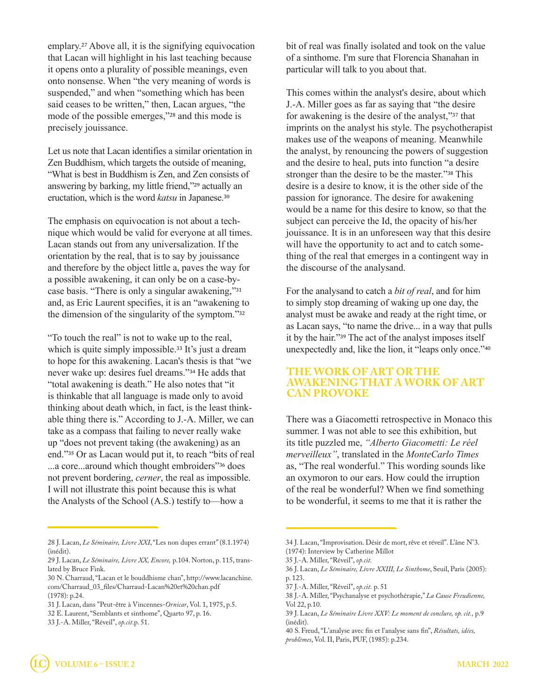emplary.27 Above all, it is the signifying equivocation that Lacan will highlight in his last teaching because it opens onto a plurality of possible meanings, even onto nonsense. When "the very meaning of words is suspended," and when "something which has been said ceases to be written," then, Lacan argues, "the mode of the possible emerges,"28 and this mode is precisely jouissance.

Let us note that Lacan identifies a similar orientation in Zen Buddhism, which targets the outside of meaning, "What is best in Buddhism is Zen, and Zen consists of answering by barking, my little friend,"29 actually an eructation, which is the word *katsu* in Japanese.30

The emphasis on equivocation is not about a technique which would be valid for everyone at all times. Lacan stands out from any universalization. If the orientation by the real, that is to say by jouissance and therefore by the object little a, paves the way for a possible awakening, it can only be on a case-bycase basis. "There is only a singular awakening,"31 and, as Eric Laurent specifies, it is an "awakening to the dimension of the singularity of the symptom."32

"To touch the real" is not to wake up to the real, which is quite simply impossible.<sup>33</sup> It's just a dream to hope for this awakening. Lacan's thesis is that "we never wake up: desires fuel dreams."34 He adds that "total awakening is death." He also notes that "it is thinkable that all language is made only to avoid thinking about death which, in fact, is the least thinkable thing there is." According to J.-A. Miller, we can take as a compass that failing to never really wake up "does not prevent taking (the awakening) as an end."35 Or as Lacan would put it, to reach "bits of real ...a core...around which thought embroiders"36 does not prevent bordering, *cerner*, the real as impossible. I will not illustrate this point because this is what the Analysts of the School (A.S.) testify to—how a

bit of real was finally isolated and took on the value of a sinthome. I'm sure that Florencia Shanahan in particular will talk to you about that.

This comes within the analyst's desire, about which J.-A. Miller goes as far as saying that "the desire for awakening is the desire of the analyst,"37 that imprints on the analyst his style. The psychotherapist makes use of the weapons of meaning. Meanwhile the analyst, by renouncing the powers of suggestion and the desire to heal, puts into function "a desire stronger than the desire to be the master."38 This desire is a desire to know, it is the other side of the passion for ignorance. The desire for awakening would be a name for this desire to know, so that the subject can perceive the Id, the opacity of his/her jouissance. It is in an unforeseen way that this desire will have the opportunity to act and to catch something of the real that emerges in a contingent way in the discourse of the analysand.

For the analysand to catch a *bit of real*, and for him to simply stop dreaming of waking up one day, the analyst must be awake and ready at the right time, or as Lacan says, "to name the drive... in a way that pulls it by the hair."39 The act of the analyst imposes itself unexpectedly and, like the lion, it "leaps only once."40

#### **THE WORK OF ART OR THE AWAKENING THAT A WORK OF ART CAN PROVOKE**

There was a Giacometti retrospective in Monaco this summer. I was not able to see this exhibition, but its title puzzled me, *"Alberto Giacometti: Le réel merveilleux"*, translated in the *MonteCarlo Times* as, "The real wonderful." This wording sounds like an oxymoron to our ears. How could the irruption of the real be wonderful? When we find something to be wonderful, it seems to me that it is rather the

40 S. Freud, "L'analyse avec fin et l'analyse sans fin", *Résultats, idées, problèmes*, Vol. II, Paris, PUF, (1985): p.234.

<sup>28</sup> J. Lacan, *Le Séminaire, Livre XXI*, "Les non dupes errant" (8.1.1974) (inédit).

<sup>29</sup> J. Lacan, *Le Séminaire, Livre XX, Encore,* p.104. Norton, p. 115, translated by Bruce Fink.

<sup>30</sup> N. Charraud, "Lacan et le bouddhisme chan", http://www.lacanchine. com/Charraud\_03\_files/Charraud-Lacan%20et%20chan.pdf (1978): p.24.

<sup>31</sup> J. Lacan, dans "Peut-être à Vincennes-*Ornicar*, Vol. 1, 1975, p.5.

<sup>32</sup> E. Laurent, "Semblants et sinthome", Quarto 97, p. 16.

<sup>33</sup> J.-A. Miller, "Réveil", *op.cit*.p. 51.

<sup>34</sup> J. Lacan, "Improvisation. Désir de mort, rêve et réveil". L'âne N°3. (1974): Interview by Catherine Millot

<sup>35</sup> J.-A. Miller, "Réveil", *op.cit.*

<sup>36</sup> J. Lacan, *Le Séminaire, Livre XXIII, Le Sinthome*, Seuil, Paris (2005): p. 123.

<sup>37</sup> J.-A. Miller, "Réveil", *op.cit.* p. 51

<sup>38</sup> J.-A. Miller, "Psychanalyse et psychothérapie," *La Cause Freudienne,* Vol 22, p.10.

<sup>39</sup> J. Lacan, *Le Séminaire Livre XXV: Le moment de conclure, op. cit.,* p.9 (inédit).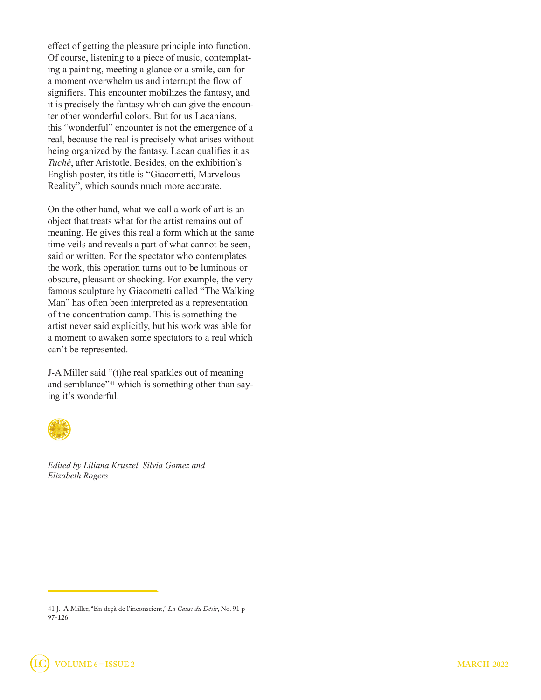effect of getting the pleasure principle into function. Of course, listening to a piece of music, contemplating a painting, meeting a glance or a smile, can for a moment overwhelm us and interrupt the flow of signifiers. This encounter mobilizes the fantasy, and it is precisely the fantasy which can give the encounter other wonderful colors. But for us Lacanians, this "wonderful" encounter is not the emergence of a real, because the real is precisely what arises without being organized by the fantasy. Lacan qualifies it as *Tuché*, after Aristotle. Besides, on the exhibition's English poster, its title is "Giacometti, Marvelous Reality", which sounds much more accurate.

On the other hand, what we call a work of art is an object that treats what for the artist remains out of meaning. He gives this real a form which at the same time veils and reveals a part of what cannot be seen, said or written. For the spectator who contemplates the work, this operation turns out to be luminous or obscure, pleasant or shocking. For example, the very famous sculpture by Giacometti called "The Walking Man" has often been interpreted as a representation of the concentration camp. This is something the artist never said explicitly, but his work was able for a moment to awaken some spectators to a real which can't be represented.

J-A Miller said "(t)he real sparkles out of meaning and semblance"41 which is something other than saying it's wonderful.



*Edited by Liliana Kruszel, Silvia Gomez and Elizabeth Rogers* 

<sup>41</sup> J.-A Miller, "En deçà de l'inconscient," *La Cause du Désir*, No. 91 p 97-126.